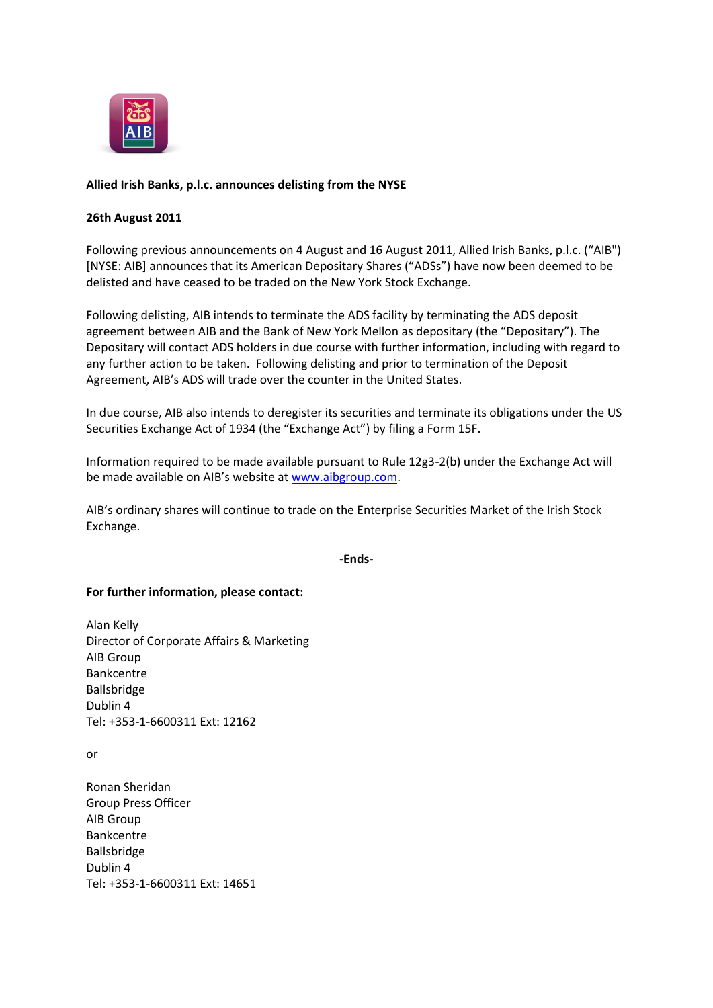

## **Allied Irish Banks, p.l.c. announces delisting from the NYSE**

## **26th August 2011**

Following previous announcements on 4 August and 16 August 2011, Allied Irish Banks, p.l.c. ("AIB") [NYSE: AIB] announces that its American Depositary Shares ("ADSs") have now been deemed to be delisted and have ceased to be traded on the New York Stock Exchange.

Following delisting, AIB intends to terminate the ADS facility by terminating the ADS deposit agreement between AIB and the Bank of New York Mellon as depositary (the "Depositary"). The Depositary will contact ADS holders in due course with further information, including with regard to any further action to be taken. Following delisting and prior to termination of the Deposit Agreement, AIB's ADS will trade over the counter in the United States.

In due course, AIB also intends to deregister its securities and terminate its obligations under the US Securities Exchange Act of 1934 (the "Exchange Act") by filing a Form 15F.

Information required to be made available pursuant to Rule 12g3-2(b) under the Exchange Act will be made available on AIB's website at [www.aibgroup.com.](http://www.aibgroup.com/)

AIB's ordinary shares will continue to trade on the Enterprise Securities Market of the Irish Stock Exchange.

**-Ends-**

## **For further information, please contact:**

Alan Kelly Director of Corporate Affairs & Marketing AIB Group Bankcentre Ballsbridge Dublin 4 Tel: +353-1-6600311 Ext: 12162

or

Ronan Sheridan Group Press Officer AIB Group Bankcentre Ballsbridge Dublin 4 Tel: +353-1-6600311 Ext: 14651